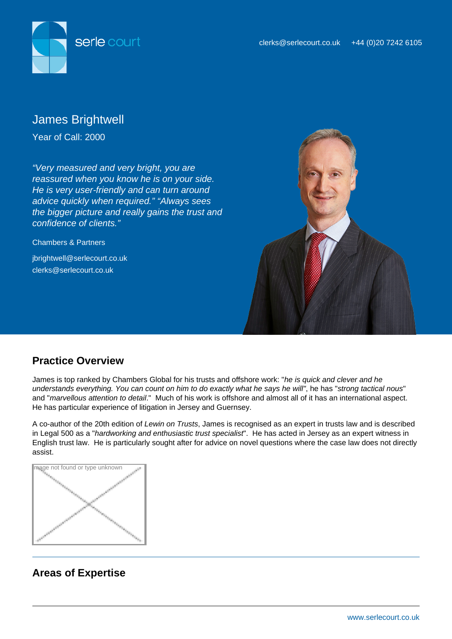

# James Brightwell

Year of Call: 2000

"Very measured and very bright, you are reassured when you know he is on your side. He is very user-friendly and can turn around advice quickly when required." "Always sees the bigger picture and really gains the trust and confidence of clients."

Chambers & Partners jbrightwell@serlecourt.co.uk clerks@serlecourt.co.uk



# **Practice Overview**

James is top ranked by Chambers Global for his trusts and offshore work: "he is quick and clever and he understands everything. You can count on him to do exactly what he says he will", he has "strong tactical nous" and "marvellous attention to detail." Much of his work is offshore and almost all of it has an international aspect. He has particular experience of litigation in Jersey and Guernsey.

A co-author of the 20th edition of Lewin on Trusts, James is recognised as an expert in trusts law and is described in Legal 500 as a "hardworking and enthusiastic trust specialist". He has acted in Jersey as an expert witness in English trust law. He is particularly sought after for advice on novel questions where the case law does not directly assist.



# **Areas of Expertise**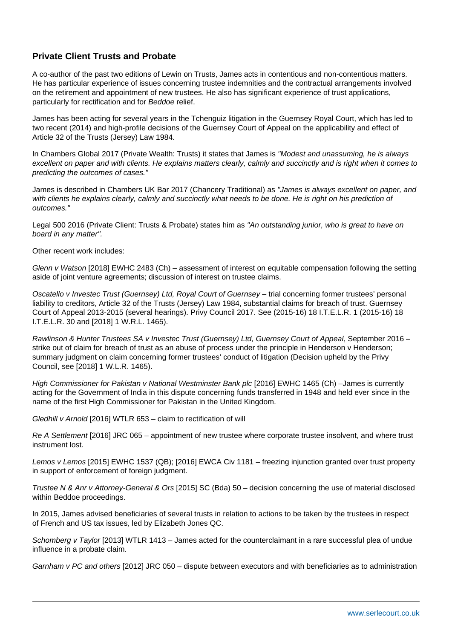# **Private Client Trusts and Probate**

A co-author of the past two editions of Lewin on Trusts, James acts in contentious and non-contentious matters. He has particular experience of issues concerning trustee indemnities and the contractual arrangements involved on the retirement and appointment of new trustees. He also has significant experience of trust applications, particularly for rectification and for Beddoe relief.

James has been acting for several years in the Tchenguiz litigation in the Guernsey Royal Court, which has led to two recent (2014) and high-profile decisions of the Guernsey Court of Appeal on the applicability and effect of Article 32 of the Trusts (Jersey) Law 1984.

In Chambers Global 2017 (Private Wealth: Trusts) it states that James is "Modest and unassuming, he is always excellent on paper and with clients. He explains matters clearly, calmly and succinctly and is right when it comes to predicting the outcomes of cases."

James is described in Chambers UK Bar 2017 (Chancery Traditional) as "James is always excellent on paper, and with clients he explains clearly, calmly and succinctly what needs to be done. He is right on his prediction of outcomes."

Legal 500 2016 (Private Client: Trusts & Probate) states him as "An outstanding junior, who is great to have on board in any matter".

Other recent work includes:

Glenn v Watson [2018] EWHC 2483 (Ch) – assessment of interest on equitable compensation following the setting aside of joint venture agreements; discussion of interest on trustee claims.

Oscatello v Investec Trust (Guernsey) Ltd, Royal Court of Guernsey – trial concerning former trustees' personal liability to creditors, Article 32 of the Trusts (Jersey) Law 1984, substantial claims for breach of trust. Guernsey Court of Appeal 2013-2015 (several hearings). Privy Council 2017. See (2015-16) 18 I.T.E.L.R. 1 (2015-16) 18 I.T.E.L.R. 30 and [2018] 1 W.R.L. 1465).

Rawlinson & Hunter Trustees SA v Investec Trust (Guernsey) Ltd, Guernsey Court of Appeal, September 2016 – strike out of claim for breach of trust as an abuse of process under the principle in Henderson v Henderson; summary judgment on claim concerning former trustees' conduct of litigation (Decision upheld by the Privy Council, see [2018] 1 W.L.R. 1465).

High Commissioner for Pakistan v National Westminster Bank plc [2016] EWHC 1465 (Ch) –James is currently acting for the Government of India in this dispute concerning funds transferred in 1948 and held ever since in the name of the first High Commissioner for Pakistan in the United Kingdom.

Gledhill v Arnold [2016] WTLR 653 – claim to rectification of will

Re A Settlement [2016] JRC 065 – appointment of new trustee where corporate trustee insolvent, and where trust instrument lost.

Lemos v Lemos [2015] EWHC 1537 (QB); [2016] EWCA Civ 1181 – freezing injunction granted over trust property in support of enforcement of foreign judgment.

Trustee N & Anr v Attorney-General & Ors [2015] SC (Bda) 50 – decision concerning the use of material disclosed within Beddoe proceedings.

In 2015, James advised beneficiaries of several trusts in relation to actions to be taken by the trustees in respect of French and US tax issues, led by Elizabeth Jones QC.

Schomberg v Taylor [2013] WTLR 1413 – James acted for the counterclaimant in a rare successful plea of undue influence in a probate claim.

Garnham v PC and others [2012] JRC 050 – dispute between executors and with beneficiaries as to administration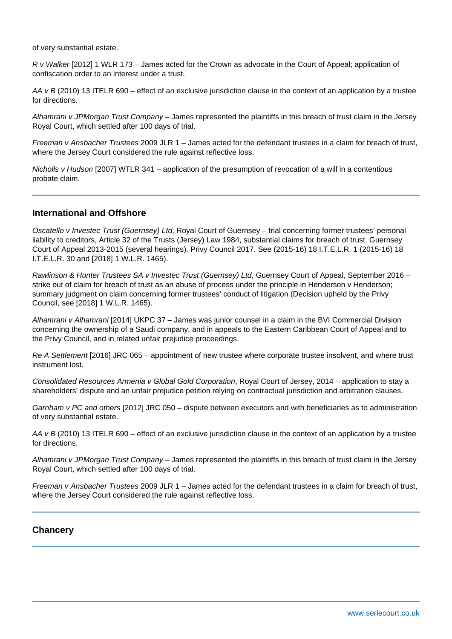of very substantial estate.

R v Walker [2012] 1 WLR 173 – James acted for the Crown as advocate in the Court of Appeal; application of confiscation order to an interest under a trust.

AA  $v$  B (2010) 13 ITELR 690 – effect of an exclusive jurisdiction clause in the context of an application by a trustee for directions.

Alhamrani v JPMorgan Trust Company – James represented the plaintiffs in this breach of trust claim in the Jersey Royal Court, which settled after 100 days of trial.

Freeman v Ansbacher Trustees 2009 JLR 1 – James acted for the defendant trustees in a claim for breach of trust, where the Jersey Court considered the rule against reflective loss.

Nicholls v Hudson [2007] WTLR 341 – application of the presumption of revocation of a will in a contentious probate claim.

## **International and Offshore**

Oscatello v Investec Trust (Guernsey) Ltd, Royal Court of Guernsey – trial concerning former trustees' personal liability to creditors, Article 32 of the Trusts (Jersey) Law 1984, substantial claims for breach of trust. Guernsey Court of Appeal 2013-2015 (several hearings). Privy Council 2017. See (2015-16) 18 I.T.E.L.R. 1 (2015-16) 18 I.T.E.L.R. 30 and [2018] 1 W.L.R. 1465).

Rawlinson & Hunter Trustees SA v Investec Trust (Guernsey) Ltd, Guernsey Court of Appeal, September 2016 – strike out of claim for breach of trust as an abuse of process under the principle in Henderson v Henderson; summary judgment on claim concerning former trustees' conduct of litigation (Decision upheld by the Privy Council, see [2018] 1 W.L.R. 1465).

Alhamrani v Alhamrani [2014] UKPC 37 – James was junior counsel in a claim in the BVI Commercial Division concerning the ownership of a Saudi company, and in appeals to the Eastern Caribbean Court of Appeal and to the Privy Council, and in related unfair prejudice proceedings.

Re A Settlement [2016] JRC 065 – appointment of new trustee where corporate trustee insolvent, and where trust instrument lost.

Consolidated Resources Armenia v Global Gold Corporation, Royal Court of Jersey, 2014 – application to stay a shareholders' dispute and an unfair prejudice petition relying on contractual jurisdiction and arbitration clauses.

Garnham v PC and others [2012] JRC 050 – dispute between executors and with beneficiaries as to administration of very substantial estate.

AA  $v$  B (2010) 13 ITELR 690 – effect of an exclusive jurisdiction clause in the context of an application by a trustee for directions.

Alhamrani v JPMorgan Trust Company – James represented the plaintiffs in this breach of trust claim in the Jersey Royal Court, which settled after 100 days of trial.

Freeman v Ansbacher Trustees 2009 JLR 1 – James acted for the defendant trustees in a claim for breach of trust, where the Jersey Court considered the rule against reflective loss.

#### **Chancery**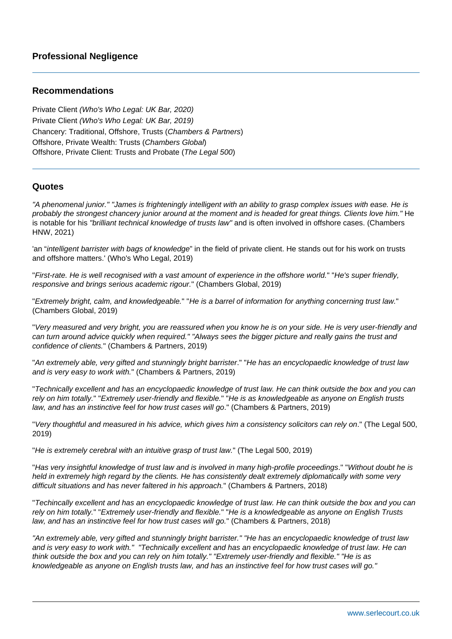### **Recommendations**

Private Client (Who's Who Legal: UK Bar, 2020) Private Client (Who's Who Legal: UK Bar, 2019) Chancery: Traditional, Offshore, Trusts (Chambers & Partners) Offshore, Private Wealth: Trusts (Chambers Global) Offshore, Private Client: Trusts and Probate (The Legal 500)

### **Quotes**

"A phenomenal junior." "James is frighteningly intelligent with an ability to grasp complex issues with ease. He is probably the strongest chancery junior around at the moment and is headed for great things. Clients love him." He is notable for his "brilliant technical knowledge of trusts law" and is often involved in offshore cases. (Chambers HNW, 2021)

'an "intelligent barrister with bags of knowledge" in the field of private client. He stands out for his work on trusts and offshore matters.' (Who's Who Legal, 2019)

"First-rate. He is well recognised with a vast amount of experience in the offshore world." "He's super friendly, responsive and brings serious academic rigour." (Chambers Global, 2019)

"Extremely bright, calm, and knowledgeable." "He is a barrel of information for anything concerning trust law." (Chambers Global, 2019)

"Very measured and very bright, you are reassured when you know he is on your side. He is very user-friendly and can turn around advice quickly when required." "Always sees the bigger picture and really gains the trust and confidence of clients." (Chambers & Partners, 2019)

"An extremely able, very gifted and stunningly bright barrister." "He has an encyclopaedic knowledge of trust law and is very easy to work with." (Chambers & Partners, 2019)

"Technically excellent and has an encyclopaedic knowledge of trust law. He can think outside the box and you can rely on him totally." "Extremely user-friendly and flexible." "He is as knowledgeable as anyone on English trusts law, and has an instinctive feel for how trust cases will go." (Chambers & Partners, 2019)

"Very thoughtful and measured in his advice, which gives him a consistency solicitors can rely on." (The Legal 500, 2019)

"He is extremely cerebral with an intuitive grasp of trust law." (The Legal 500, 2019)

"Has very insightful knowledge of trust law and is involved in many high-profile proceedings." "Without doubt he is held in extremely high regard by the clients. He has consistently dealt extremely diplomatically with some very difficult situations and has never faltered in his approach." (Chambers & Partners, 2018)

"Techincally excellent and has an encyclopaedic knowledge of trust law. He can think outside the box and you can rely on him totally." "Extremely user-friendly and flexible." "He is a knowledgeable as anyone on English Trusts law, and has an instinctive feel for how trust cases will go." (Chambers & Partners, 2018)

"An extremely able, very gifted and stunningly bright barrister." "He has an encyclopaedic knowledge of trust law and is very easy to work with." "Technically excellent and has an encyclopaedic knowledge of trust law. He can think outside the box and you can rely on him totally." "Extremely user-friendly and flexible." "He is as knowledgeable as anyone on English trusts law, and has an instinctive feel for how trust cases will go."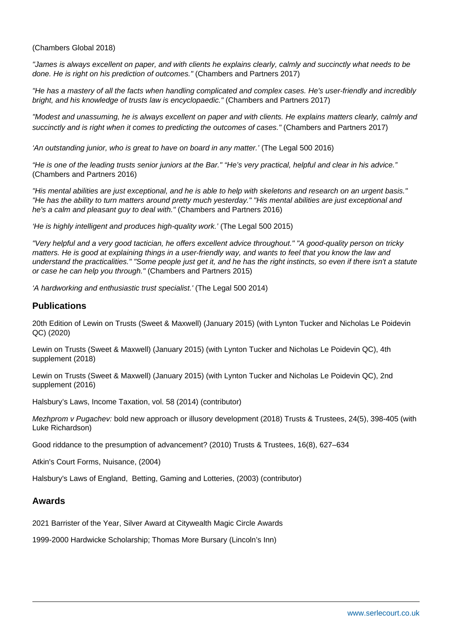(Chambers Global 2018)

"James is always excellent on paper, and with clients he explains clearly, calmly and succinctly what needs to be done. He is right on his prediction of outcomes." (Chambers and Partners 2017)

"He has a mastery of all the facts when handling complicated and complex cases. He's user-friendly and incredibly bright, and his knowledge of trusts law is encyclopaedic." (Chambers and Partners 2017)

"Modest and unassuming, he is always excellent on paper and with clients. He explains matters clearly, calmly and succinctly and is right when it comes to predicting the outcomes of cases." (Chambers and Partners 2017)

'An outstanding junior, who is great to have on board in any matter.' (The Legal 500 2016)

"He is one of the leading trusts senior juniors at the Bar." "He's very practical, helpful and clear in his advice." (Chambers and Partners 2016)

"His mental abilities are just exceptional, and he is able to help with skeletons and research on an urgent basis." "He has the ability to turn matters around pretty much yesterday." "His mental abilities are just exceptional and he's a calm and pleasant guy to deal with." (Chambers and Partners 2016)

'He is highly intelligent and produces high-quality work.' (The Legal 500 2015)

"Very helpful and a very good tactician, he offers excellent advice throughout." "A good-quality person on tricky matters. He is good at explaining things in a user-friendly way, and wants to feel that you know the law and understand the practicalities." "Some people just get it, and he has the right instincts, so even if there isn't a statute or case he can help you through." (Chambers and Partners 2015)

'A hardworking and enthusiastic trust specialist.' (The Legal 500 2014)

#### **Publications**

20th Edition of Lewin on Trusts (Sweet & Maxwell) (January 2015) (with Lynton Tucker and Nicholas Le Poidevin QC) (2020)

Lewin on Trusts (Sweet & Maxwell) (January 2015) (with Lynton Tucker and Nicholas Le Poidevin QC), 4th supplement (2018)

Lewin on Trusts (Sweet & Maxwell) (January 2015) (with Lynton Tucker and Nicholas Le Poidevin QC), 2nd supplement (2016)

Halsbury's Laws, Income Taxation, vol. 58 (2014) (contributor)

Mezhprom v Pugachev: bold new approach or illusory development (2018) Trusts & Trustees, 24(5), 398-405 (with Luke Richardson)

Good riddance to the presumption of advancement? (2010) Trusts & Trustees, 16(8), 627–634

Atkin's Court Forms, Nuisance, (2004)

Halsbury's Laws of England, Betting, Gaming and Lotteries, (2003) (contributor)

#### **Awards**

2021 Barrister of the Year, Silver Award at Citywealth Magic Circle Awards

1999-2000 Hardwicke Scholarship; Thomas More Bursary (Lincoln's Inn)